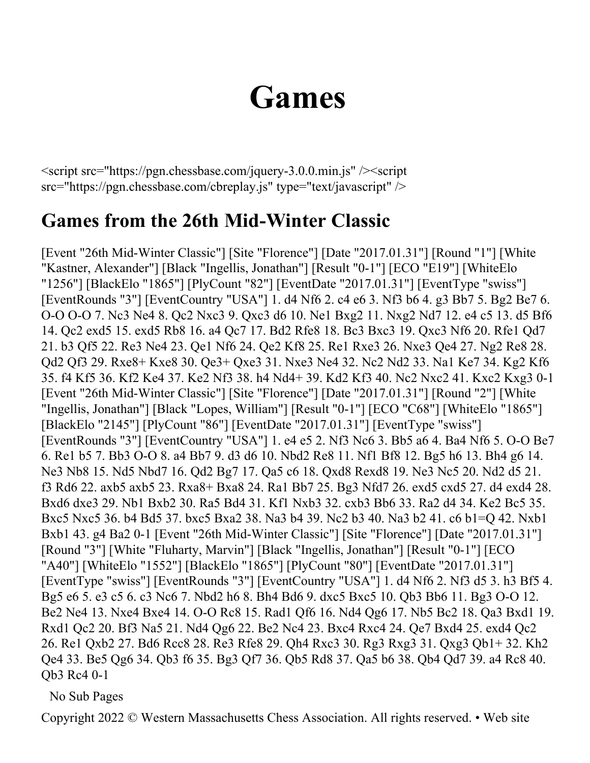## **Games**

<script src="https://pgn.chessbase.com/jquery-3.0.0.min.js" /><script src="https://pgn.chessbase.com/cbreplay.js" type="text/javascript" />

## **Games from the 26th Mid-Winter Classic**

[Event "26th Mid-Winter Classic"] [Site "Florence"] [Date "2017.01.31"] [Round "1"] [White "Kastner, Alexander"] [Black "Ingellis, Jonathan"] [Result "0-1"] [ECO "E19"] [WhiteElo "1256"] [BlackElo "1865"] [PlyCount "82"] [EventDate "2017.01.31"] [EventType "swiss"] [EventRounds "3"] [EventCountry "USA"] 1. d4 Nf6 2. c4 e6 3. Nf3 b6 4. g3 Bb7 5. Bg2 Be7 6. O-O O-O 7. Nc3 Ne4 8. Qc2 Nxc3 9. Qxc3 d6 10. Ne1 Bxg2 11. Nxg2 Nd7 12. e4 c5 13. d5 Bf6 14. Qc2 exd5 15. exd5 Rb8 16. a4 Qc7 17. Bd2 Rfe8 18. Bc3 Bxc3 19. Qxc3 Nf6 20. Rfe1 Qd7 21. b3 Qf5 22. Re3 Ne4 23. Qe1 Nf6 24. Qe2 Kf8 25. Re1 Rxe3 26. Nxe3 Qe4 27. Ng2 Re8 28. Qd2 Qf3 29. Rxe8+ Kxe8 30. Qe3+ Qxe3 31. Nxe3 Ne4 32. Nc2 Nd2 33. Na1 Ke7 34. Kg2 Kf6 35. f4 Kf5 36. Kf2 Ke4 37. Ke2 Nf3 38. h4 Nd4+ 39. Kd2 Kf3 40. Nc2 Nxc2 41. Kxc2 Kxg3 0-1 [Event "26th Mid-Winter Classic"] [Site "Florence"] [Date "2017.01.31"] [Round "2"] [White "Ingellis, Jonathan"] [Black "Lopes, William"] [Result "0-1"] [ECO "C68"] [WhiteElo "1865"] [BlackElo "2145"] [PlyCount "86"] [EventDate "2017.01.31"] [EventType "swiss"] [EventRounds "3"] [EventCountry "USA"] 1. e4 e5 2. Nf3 Nc6 3. Bb5 a6 4. Ba4 Nf6 5. O-O Be7 6. Re1 b5 7. Bb3 O-O 8. a4 Bb7 9. d3 d6 10. Nbd2 Re8 11. Nf1 Bf8 12. Bg5 h6 13. Bh4 g6 14. Ne3 Nb8 15. Nd5 Nbd7 16. Qd2 Bg7 17. Qa5 c6 18. Qxd8 Rexd8 19. Ne3 Nc5 20. Nd2 d5 21. f3 Rd6 22. axb5 axb5 23. Rxa8+ Bxa8 24. Ra1 Bb7 25. Bg3 Nfd7 26. exd5 cxd5 27. d4 exd4 28. Bxd6 dxe3 29. Nb1 Bxb2 30. Ra5 Bd4 31. Kf1 Nxb3 32. cxb3 Bb6 33. Ra2 d4 34. Ke2 Bc5 35. Bxc5 Nxc5 36. b4 Bd5 37. bxc5 Bxa2 38. Na3 b4 39. Nc2 b3 40. Na3 b2 41. c6 b1=Q 42. Nxb1 Bxb1 43. g4 Ba2 0-1 [Event "26th Mid-Winter Classic"] [Site "Florence"] [Date "2017.01.31"] [Round "3"] [White "Fluharty, Marvin"] [Black "Ingellis, Jonathan"] [Result "0-1"] [ECO "A40"] [WhiteElo "1552"] [BlackElo "1865"] [PlyCount "80"] [EventDate "2017.01.31"] [EventType "swiss"] [EventRounds "3"] [EventCountry "USA"] 1. d4 Nf6 2. Nf3 d5 3. h3 Bf5 4. Bg5 e6 5. e3 c5 6. c3 Nc6 7. Nbd2 h6 8. Bh4 Bd6 9. dxc5 Bxc5 10. Qb3 Bb6 11. Bg3 O-O 12. Be2 Ne4 13. Nxe4 Bxe4 14. O-O Rc8 15. Rad1 Qf6 16. Nd4 Qg6 17. Nb5 Bc2 18. Qa3 Bxd1 19. Rxd1 Qc2 20. Bf3 Na5 21. Nd4 Qg6 22. Be2 Nc4 23. Bxc4 Rxc4 24. Qe7 Bxd4 25. exd4 Qc2 26. Re1 Qxb2 27. Bd6 Rcc8 28. Re3 Rfe8 29. Qh4 Rxc3 30. Rg3 Rxg3 31. Qxg3 Qb1+ 32. Kh2 Qe4 33. Be5 Qg6 34. Qb3 f6 35. Bg3 Qf7 36. Qb5 Rd8 37. Qa5 b6 38. Qb4 Qd7 39. a4 Rc8 40. Qb3 Rc4 0-1

No Sub Pages

Copyright 2022 © Western Massachusetts Chess Association. All rights reserved. • Web site